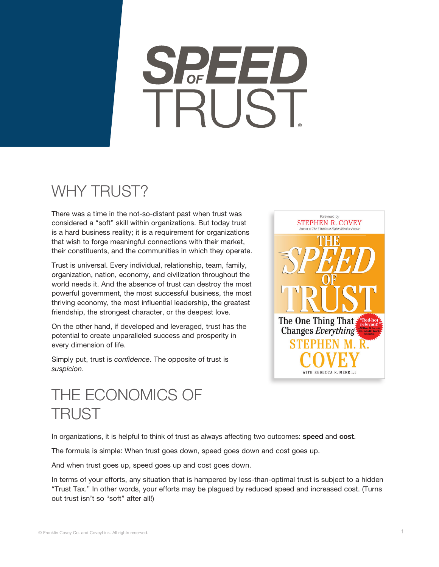# SPEED TRUST ®

### WHY TRUST?

There was a time in the not-so-distant past when trust was considered a "soft" skill within organizations. But today trust is a hard business reality; it is a requirement for organizations that wish to forge meaningful connections with their market, their constituents, and the communities in which they operate.

Trust is universal. Every individual, relationship, team, family, organization, nation, economy, and civilization throughout the world needs it. And the absence of trust can destroy the most powerful government, the most successful business, the most thriving economy, the most influential leadership, the greatest friendship, the strongest character, or the deepest love.

On the other hand, if developed and leveraged, trust has the potential to create unparalleled success and prosperity in every dimension of life.

Simply put, trust is *confidence*. The opposite of trust is *suspicion*.



### THE ECONOMICS OF TRUST

In organizations, it is helpful to think of trust as always affecting two outcomes: speed and cost.

The formula is simple: When trust goes down, speed goes down and cost goes up.

And when trust goes up, speed goes up and cost goes down.

In terms of your efforts, any situation that is hampered by less-than-optimal trust is subject to a hidden "Trust Tax." In other words, your efforts may be plagued by reduced speed and increased cost. (Turns out trust isn't so "soft" after all!)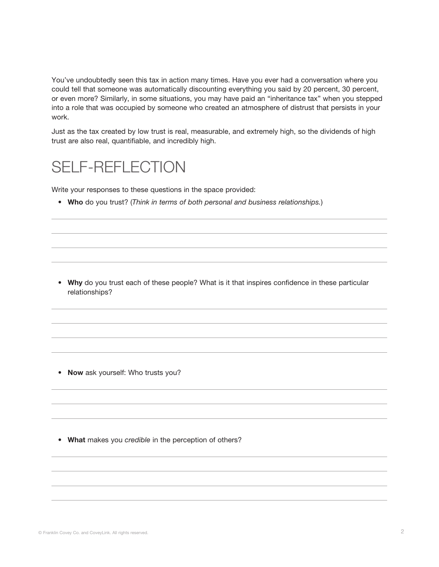You've undoubtedly seen this tax in action many times. Have you ever had a conversation where you could tell that someone was automatically discounting everything you said by 20 percent, 30 percent, or even more? Similarly, in some situations, you may have paid an "inheritance tax" when you stepped into a role that was occupied by someone who created an atmosphere of distrust that persists in your work.

Just as the tax created by low trust is real, measurable, and extremely high, so the dividends of high trust are also real, quantifiable, and incredibly high.

#### SELF-REFLECTION

Write your responses to these questions in the space provided:

• Who do you trust? (*Think in terms of both personal and business relationships.*)

• Why do you trust each of these people? What is it that inspires confidence in these particular relationships?

• Now ask yourself: Who trusts you?

• What makes you *credible* in the perception of others?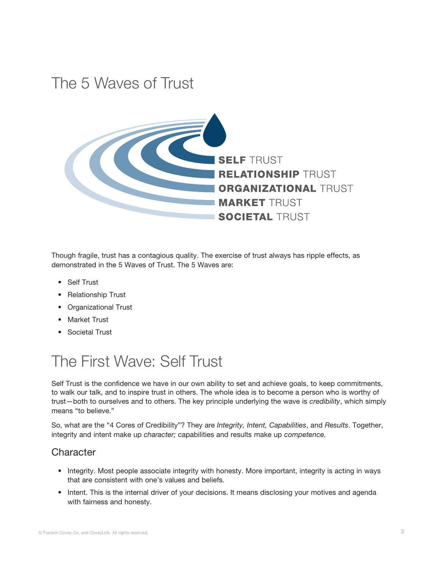#### The 5 Waves of Trust



Though fragile, trust has a contagious quality. The exercise of trust always has ripple effects, as demonstrated in the 5 Waves of Trust. The 5 Waves are:

- Self Trust
- Relationship Trust
- Organizational Trust
- Market Trust
- Societal Trust

### The First Wave: Self Trust

Self Trust is the confidence we have in our own ability to set and achieve goals, to keep commitments, to walk our talk, and to inspire trust in others. The whole idea is to become a person who is worthy of trust—both to ourselves and to others. The key principle underlying the wave is *credibility*, which simply means "to believe."

So, what are the "4 Cores of Credibility"? They are *Integrity, Intent, Capabilities*, and *Results*. Together, integrity and intent make up *character;* capabilities and results make up *competence.*

#### **Character**

- Integrity. Most people associate integrity with honesty. More important, integrity is acting in ways that are consistent with one's values and beliefs.
- Intent. This is the internal driver of your decisions. It means disclosing your motives and agenda with fairness and honesty.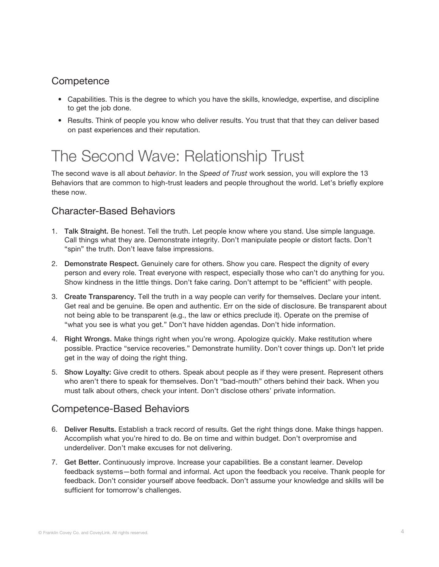#### **Competence**

- Capabilities. This is the degree to which you have the skills, knowledge, expertise, and discipline to get the job done.
- Results. Think of people you know who deliver results. You trust that that they can deliver based on past experiences and their reputation.

### The Second Wave: Relationship Trust

The second wave is all about *behavior*. In the *Speed of Trust* work session, you will explore the 13 Behaviors that are common to high-trust leaders and people throughout the world. Let's briefly explore these now.

#### Character-Based Behaviors

- 1. Talk Straight. Be honest. Tell the truth. Let people know where you stand. Use simple language. Call things what they are. Demonstrate integrity. Don't manipulate people or distort facts. Don't "spin" the truth. Don't leave false impressions.
- 2. Demonstrate Respect. Genuinely care for others. Show you care. Respect the dignity of every person and every role. Treat everyone with respect, especially those who can't do anything for you. Show kindness in the little things. Don't fake caring. Don't attempt to be "efficient" with people.
- 3. Create Transparency. Tell the truth in a way people can verify for themselves. Declare your intent. Get real and be genuine. Be open and authentic. Err on the side of disclosure. Be transparent about not being able to be transparent (e.g., the law or ethics preclude it). Operate on the premise of "what you see is what you get." Don't have hidden agendas. Don't hide information.
- 4. Right Wrongs. Make things right when you're wrong. Apologize quickly. Make restitution where possible. Practice "service recoveries." Demonstrate humility. Don't cover things up. Don't let pride get in the way of doing the right thing.
- 5. Show Loyalty: Give credit to others. Speak about people as if they were present. Represent others who aren't there to speak for themselves. Don't "bad-mouth" others behind their back. When you must talk about others, check your intent. Don't disclose others' private information.

#### Competence-Based Behaviors

- 6. Deliver Results. Establish a track record of results. Get the right things done. Make things happen. Accomplish what you're hired to do. Be on time and within budget. Don't overpromise and underdeliver. Don't make excuses for not delivering.
- 7. Get Better. Continuously improve. Increase your capabilities. Be a constant learner. Develop feedback systems—both formal and informal. Act upon the feedback you receive. Thank people for feedback. Don't consider yourself above feedback. Don't assume your knowledge and skills will be sufficient for tomorrow's challenges.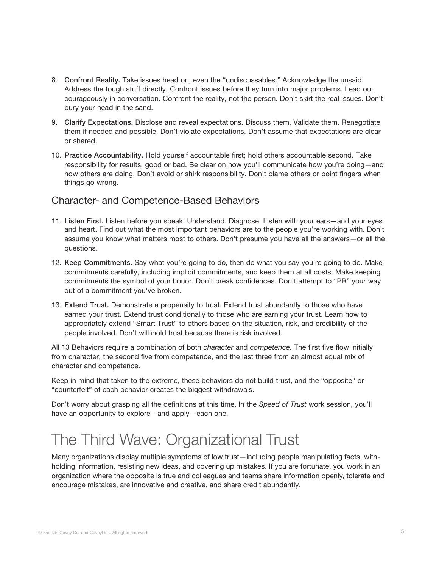- 8. Confront Reality. Take issues head on, even the "undiscussables." Acknowledge the unsaid. Address the tough stuff directly. Confront issues before they turn into major problems. Lead out courageously in conversation. Confront the reality, not the person. Don't skirt the real issues. Don't bury your head in the sand.
- 9. Clarify Expectations. Disclose and reveal expectations. Discuss them. Validate them. Renegotiate them if needed and possible. Don't violate expectations. Don't assume that expectations are clear or shared.
- 10. Practice Accountability. Hold yourself accountable first; hold others accountable second. Take responsibility for results, good or bad. Be clear on how you'll communicate how you're doing—and how others are doing. Don't avoid or shirk responsibility. Don't blame others or point fingers when things go wrong.

#### Character- and Competence-Based Behaviors

- 11. Listen First. Listen before you speak. Understand. Diagnose. Listen with your ears—and your eyes and heart. Find out what the most important behaviors are to the people you're working with. Don't assume you know what matters most to others. Don't presume you have all the answers—or all the questions.
- 12. Keep Commitments. Say what you're going to do, then do what you say you're going to do. Make commitments carefully, including implicit commitments, and keep them at all costs. Make keeping commitments the symbol of your honor. Don't break confidences. Don't attempt to "PR" your way out of a commitment you've broken.
- 13. Extend Trust. Demonstrate a propensity to trust. Extend trust abundantly to those who have earned your trust. Extend trust conditionally to those who are earning your trust. Learn how to appropriately extend "Smart Trust" to others based on the situation, risk, and credibility of the people involved. Don't withhold trust because there is risk involved.

All 13 Behaviors require a combination of both *character* and *competence.* The first five flow initially from character, the second five from competence, and the last three from an almost equal mix of character and competence.

Keep in mind that taken to the extreme, these behaviors do not build trust, and the "opposite" or "counterfeit" of each behavior creates the biggest withdrawals.

Don't worry about grasping all the definitions at this time. In the *Speed of Trust* work session, you'll have an opportunity to explore—and apply—each one.

## The Third Wave: Organizational Trust

Many organizations display multiple symptoms of low trust—including people manipulating facts, withholding information, resisting new ideas, and covering up mistakes. If you are fortunate, you work in an organization where the opposite is true and colleagues and teams share information openly, tolerate and encourage mistakes, are innovative and creative, and share credit abundantly.